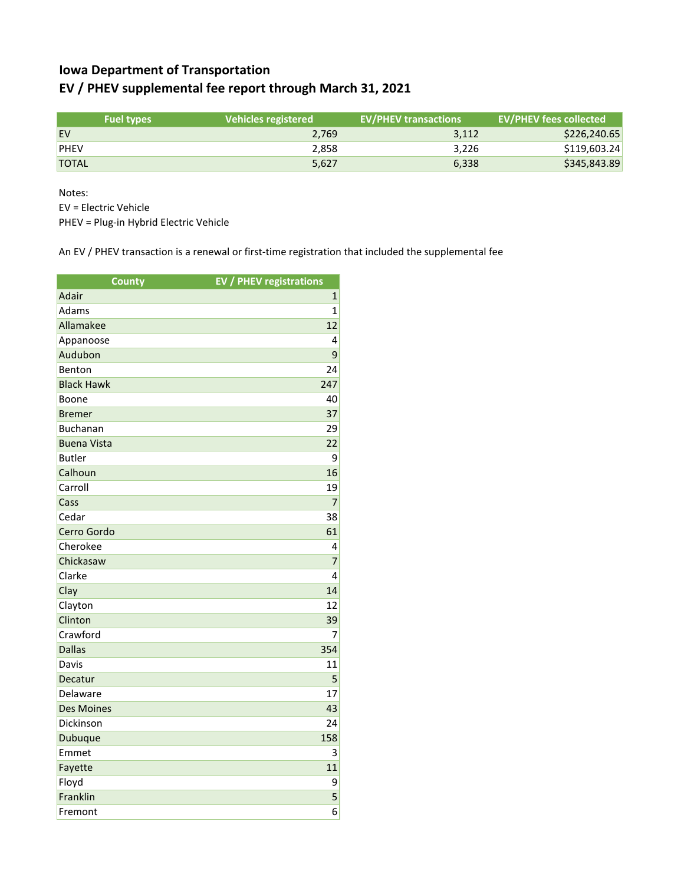## **Iowa Department of Transportation EV / PHEV supplemental fee report through March 31, 2021**

|              | <b>Fuel types</b> | l Vehicles registered | <b>EV/PHEV transactions</b> | <b>EV/PHEV fees collected</b> |
|--------------|-------------------|-----------------------|-----------------------------|-------------------------------|
| <b>EV</b>    |                   | 2.769                 | 3,112                       | \$226,240.65                  |
| <b>PHEV</b>  |                   | 2.858                 | 3.226                       | \$119,603.24                  |
| <b>TOTAL</b> |                   | 5,627                 | 6,338                       | \$345,843.89                  |

Notes:

EV = Electric Vehicle

PHEV = Plug-in Hybrid Electric Vehicle

An EV / PHEV transaction is a renewal or first-time registration that included the supplemental fee

| <b>County</b>      | <b>EV / PHEV registrations</b> |
|--------------------|--------------------------------|
| Adair              | $\mathbf{1}$                   |
| Adams              | $\mathbf{1}$                   |
| Allamakee          | 12                             |
| Appanoose          | 4                              |
| Audubon            | 9                              |
| Benton             | 24                             |
| <b>Black Hawk</b>  | 247                            |
| Boone              | 40                             |
| <b>Bremer</b>      | 37                             |
| <b>Buchanan</b>    | 29                             |
| <b>Buena Vista</b> | 22                             |
| <b>Butler</b>      | 9                              |
| Calhoun            | 16                             |
| Carroll            | 19                             |
| Cass               | $\overline{7}$                 |
| Cedar              | 38                             |
| Cerro Gordo        | 61                             |
| Cherokee           | 4                              |
| Chickasaw          | 7                              |
| Clarke             | 4                              |
| Clay               | 14                             |
| Clayton            | 12                             |
| Clinton            | 39                             |
| Crawford           | 7                              |
| <b>Dallas</b>      | 354                            |
| Davis              | 11                             |
| Decatur            | 5                              |
| Delaware           | 17                             |
| <b>Des Moines</b>  | 43                             |
| Dickinson          | 24                             |
| Dubuque            | 158                            |
| Emmet              | 3                              |
| Fayette            | 11                             |
| Floyd              | 9                              |
| Franklin           | 5                              |
| Fremont            | 6                              |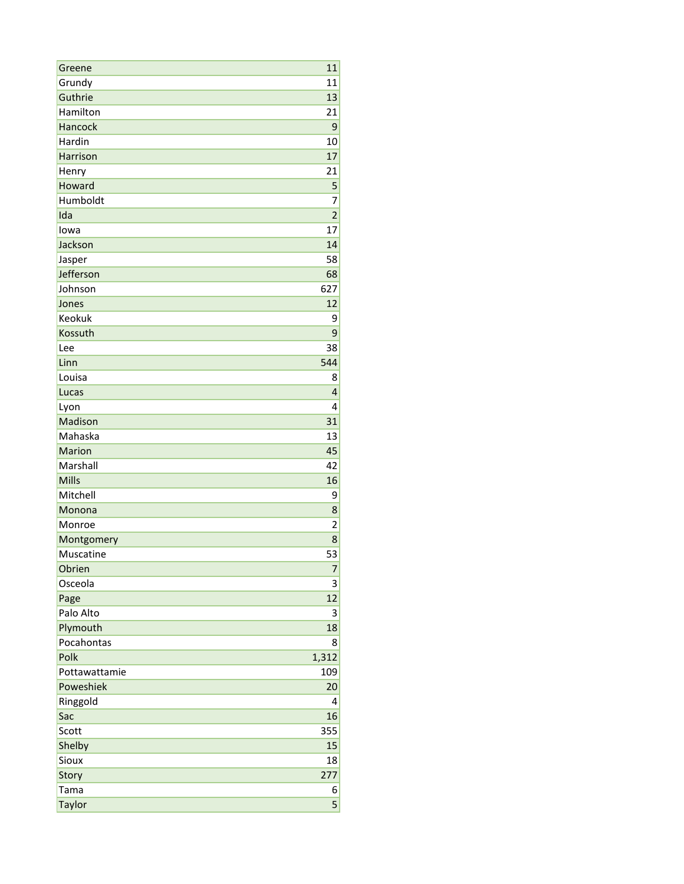| Greene                  | 11                      |
|-------------------------|-------------------------|
| Grundy                  | 11                      |
| Guthrie                 | 13                      |
| Hamilton                | 21                      |
| Hancock                 | 9                       |
| Hardin                  | 10                      |
| Harrison                | 17                      |
| Henry                   | 21                      |
| Howard                  | 5                       |
| Humboldt                | 7                       |
| Ida                     | $\overline{2}$          |
| lowa                    | 17                      |
| Jackson                 | 14                      |
| Jasper                  | 58                      |
| Jefferson               | 68                      |
| Johnson                 | 627                     |
| Jones                   | 12                      |
| Keokuk                  | 9                       |
| Kossuth                 | 9                       |
| Lee                     | 38                      |
| Linn                    | 544                     |
| Louisa                  | 8                       |
| Lucas                   | $\overline{4}$          |
| Lyon                    | 4                       |
| Madison                 | 31                      |
| Mahaska                 | 13                      |
| Marion                  | 45                      |
| Marshall                | 42                      |
| <b>Mills</b>            | 16                      |
| Mitchell                | 9                       |
| Monona                  | 8                       |
| Monroe                  | $\overline{\mathbf{c}}$ |
|                         | 8                       |
| Montgomery<br>Muscatine | 53                      |
| Obrien                  |                         |
| Osceola                 | 7                       |
| Page                    | 3<br>12                 |
| Palo Alto               | 3                       |
| Plymouth                | 18                      |
| Pocahontas              |                         |
| Polk                    | 8                       |
|                         | 1,312                   |
| Pottawattamie           | 109                     |
| Poweshiek               | 20                      |
| Ringgold                | 4                       |
| Sac                     | 16                      |
| Scott                   | 355                     |
| Shelby                  | 15                      |
| Sioux                   | 18                      |
| Story                   | 277                     |
| Tama                    | 6                       |
| Taylor                  | 5                       |